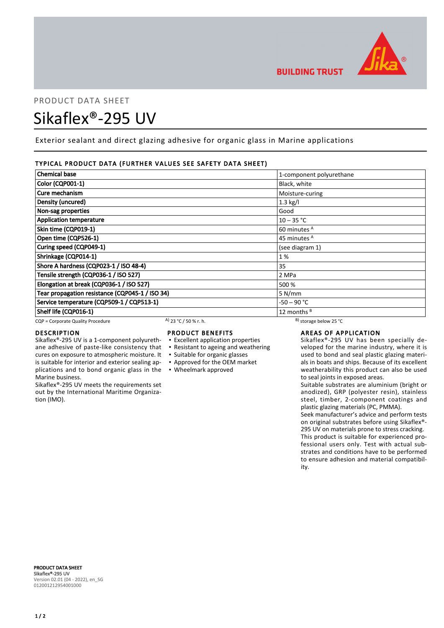

# PRODUCT DATA SHEET Sikaflex®-295 UV

Exterior sealant and direct glazing adhesive for organic glass in Marine applications

#### TYPICAL PRODUCT DATA (FURTHER VALUES SEE SAFETY DATA SHEET)

| <b>Chemical base</b>                            |                       | 1-component polyurethane     |  |
|-------------------------------------------------|-----------------------|------------------------------|--|
| <b>Color (CQP001-1)</b>                         |                       | Black, white                 |  |
| Cure mechanism                                  |                       | Moisture-curing              |  |
| Density (uncured)                               |                       | $1.3$ kg/l                   |  |
| Non-sag properties                              |                       | Good                         |  |
| <b>Application temperature</b>                  |                       | $10 - 35 °C$                 |  |
| Skin time (CQP019-1)                            |                       | 60 minutes <sup>A</sup>      |  |
| Open time (CQP526-1)                            |                       | 45 minutes <sup>A</sup>      |  |
| Curing speed (CQP049-1)                         |                       | (see diagram 1)              |  |
| Shrinkage (CQP014-1)                            |                       | 1%                           |  |
| Shore A hardness (CQP023-1 / ISO 48-4)          |                       | 35                           |  |
| Tensile strength (CQP036-1 / ISO 527)           |                       | 2 MPa                        |  |
| Elongation at break (CQP036-1 / ISO 527)        |                       | 500 %                        |  |
| Tear propagation resistance (CQP045-1 / ISO 34) |                       | 5 N/mm                       |  |
| Service temperature (CQP509-1 / CQP513-1)       |                       | -50 – 90 °C                  |  |
| Shelf life (CQP016-1)                           |                       | 12 months <sup>B</sup>       |  |
| CQP = Corporate Quality Procedure               | A) 23 °C / 50 % r. h. | $^{B}$ ) storage below 25 °C |  |

cures on exposure to atmospheric moisture. It is suitable for interior and exterior sealing ap-

Sikaflex®-295 UV meets the requirements set out by the International Maritime Organiza-

#### DESCRIPTION

Marine business.

tion (IMO).

## PRODUCT BENEFITS

- Sikaflex®-295 UV is a 1-component polyurethane adhesive of paste-like consistency that ▪ Excellent application properties ▪ Resistant to ageing and weathering
	-
	- Suitable for organic glasses ▪ Approved for the OEM market
	-

## plications and to bond organic glass in the ▪ Wheelmark approved

### AREAS OF APPLICATION

Sikaflex®-295 UV has been specially developed for the marine industry, where it is used to bond and seal plastic glazing materials in boats and ships. Because of its excellent weatherability this product can also be used to seal joints in exposed areas.

Suitable substrates are aluminium (bright or anodized), GRP (polyester resin), stainless steel, timber, 2-component coatings and plastic glazing materials (PC, PMMA).

Seek manufacturer's advice and perform tests on original substrates before using Sikaflex®- 295 UV on materials prone to stress cracking. This product is suitable for experienced professional users only. Test with actual substrates and conditions have to be performed to ensure adhesion and material compatibility.

PRODUCT DATA SHEET Sikaflex®-295 UV Version 02.01 (04 - 2022), en\_SG 012001212954001000